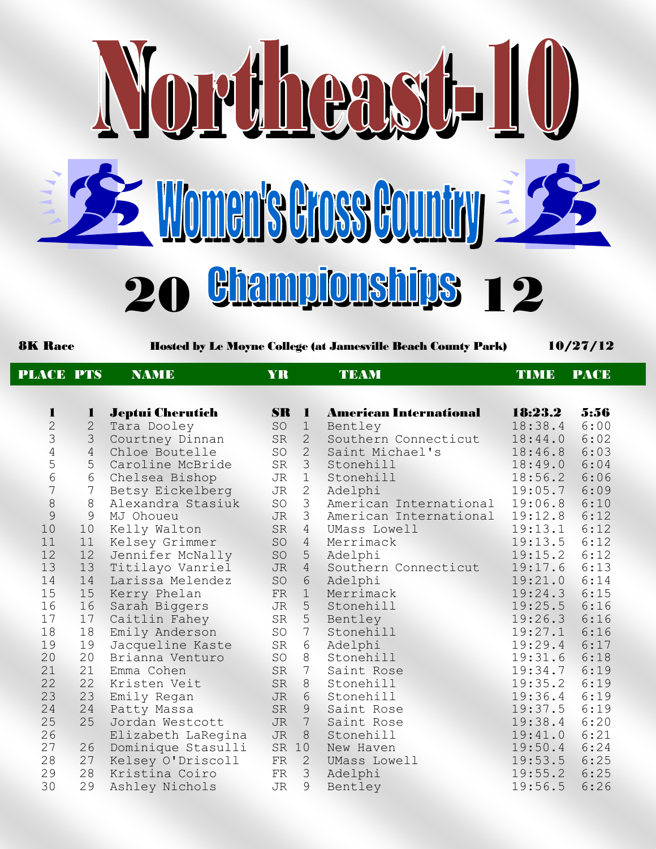

8K Race Hosted by Le Moyne College (at Jamesville Beach County Park) 10/27/12

| <b>PLACE PTS</b> |                | <b>NAME</b>             | <b>YR</b> |                 | <b>TEAM</b>                   | <b>TIMB</b> | <b>PACE</b> |
|------------------|----------------|-------------------------|-----------|-----------------|-------------------------------|-------------|-------------|
|                  |                |                         |           |                 |                               |             |             |
| 1                | $\mathbf{I}$   | <b>Jeptui Cherutich</b> |           | $\mathbf{SR}$ 1 | <b>American International</b> | 18:23.2     | 5:56        |
| $\overline{c}$   | $\overline{2}$ | Tara Dooley             | SO        | $\mathbf 1$     | Bentley                       | 18:38.4     | 6:00        |
| 3                | $\mathcal{S}$  | Courtney Dinnan         | SR        | $\overline{2}$  | Southern Connecticut          | 18:44.0     | 6:02        |
| $\overline{4}$   | $\overline{4}$ | Chloe Boutelle          | SO        | $\overline{2}$  | Saint Michael's               | 18:46.8     | 6:03        |
| 5                | 5              | Caroline McBride        | SR        | 3 <sup>7</sup>  | Stonehill                     | 18:49.0     | 6:04        |
| 6                | 6              | Chelsea Bishop          | JR        | 1               | Stonehill                     | 18:56.2     | 6:06        |
| 7                | 7              | Betsy Eickelberg        | JR        | $\mathbf{2}$    | Adelphi                       | 19:05.7     | 6:09        |
| $\,8\,$          | 8              | Alexandra Stasiuk       | SO        | 3               | American International        | 19:06.8     | 6:10        |
| 9                | 9              | MJ Ohoueu               | <b>JR</b> | 3               | American International        | 19:12.8     | 6:12        |
| 10               | 10             | Kelly Walton            | SR        | $\overline{4}$  | UMass Lowell                  | 19:13.1     | 6:12        |
| 11               | 11             | Kelsey Grimmer          | SO        | $\overline{4}$  | Merrimack                     | 19:13.5     | 6:12        |
| 12               | 12             | Jennifer McNally        | SO        | 5               | Adelphi                       | 19:15.2     | 6:12        |
| 13               | 13             | Titilayo Vanriel        | <b>JR</b> | $\overline{4}$  | Southern Connecticut          | 19:17.6     | 6:13        |
| 14               | 14             | Larissa Melendez        | SO        | $6\overline{6}$ | Adelphi                       | 19:21.0     | 6:14        |
| 15               | 15             | Kerry Phelan            | FR        | 1               | Merrimack                     | 19:24.3     | 6:15        |
| 16               | 16             | Sarah Biggers           | JR        | 5               | Stonehill                     | 19:25.5     | 6:16        |
| 17               | 17             | Caitlin Fahey           | SR        | 5               | Bentley                       | 19:26.3     | 6:16        |
| 18               | 18             | Emily Anderson          | SO        | $7\phantom{.0}$ | Stonehill                     | 19:27.1     | 6:16        |
| 19               | 19             | Jacqueline Kaste        | SR        | 6               | Adelphi                       | 19:29.4     | 6:17        |
| 20               | 20             | Brianna Venturo         | SO        | 8               | Stonehill                     | 19:31.6     | 6:18        |
| 21               | 21             | Emma Cohen              | SR        | $7\phantom{.0}$ | Saint Rose                    | 19:34.7     | 6:19        |
| 22               | 22             | Kristen Veit            | SR        | 8               | Stonehill                     | 19:35.2     | 6:19        |
| 23               | 23             | Emily Regan             | JR        | 6               | Stonehill                     | 19:36.4     | 6:19        |
| 24               | 24             | Patty Massa             | SR        | 9               | Saint Rose                    | 19:37.5     | 6:19        |
| 25               | 25             | Jordan Westcott         | <b>JR</b> | $7\phantom{.0}$ | Saint Rose                    | 19:38.4     | 6:20        |
| 26               |                | Elizabeth LaRegina      | <b>JR</b> | $8\,$           | Stonehill                     | 19:41.0     | 6:21        |
| 27               | 26             | Dominique Stasulli      |           | SR 10           | New Haven                     | 19:50.4     | 6:24        |
| 28               | 27             | Kelsey O'Driscoll       | FR        | 2               | UMass Lowell                  | 19:53.5     | 6:25        |
| 29               | 28             | Kristina Coiro          | FR        | 3               | Adelphi                       | 19:55.2     | 6:25        |
| 30               | 29             | Ashley Nichols          | JR        | 9               | Bentley                       | 19:56.5     | 6:26        |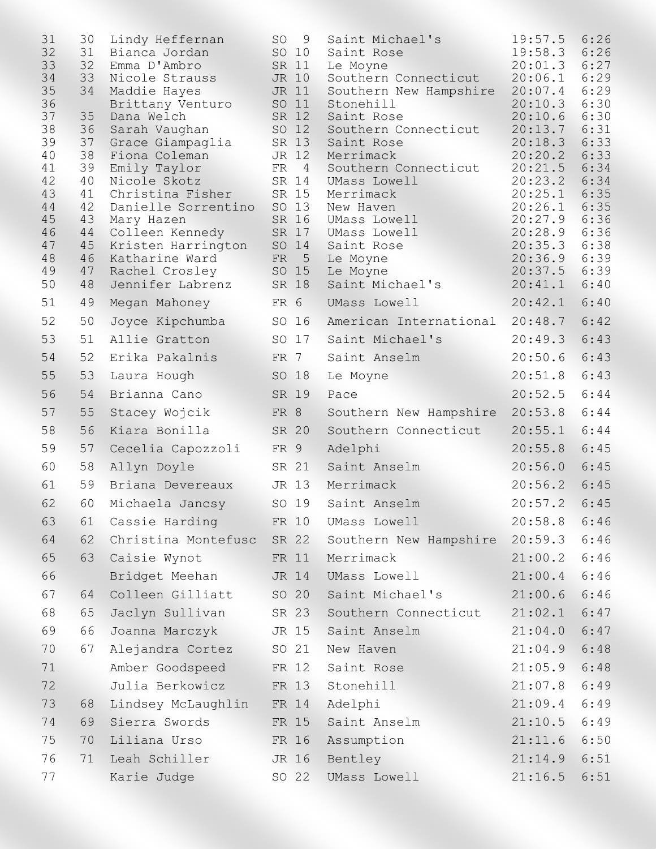| 31       | 30       | Lindy Heffernan                  | <b>SO</b>                | 9 | Saint Michael's                     | 19:57.5            | 6:26         |
|----------|----------|----------------------------------|--------------------------|---|-------------------------------------|--------------------|--------------|
| 32       | 31       | Bianca Jordan                    | SO 10                    |   | Saint Rose                          | 19:58.3            | 6:26         |
| 33       | 32       | Emma D'Ambro                     | SR 11                    |   | Le Moyne                            | 20:01.3            | 6:27         |
| 34       | 33       | Nicole Strauss                   | JR 10                    |   | Southern Connecticut                | 20:06.1            | 6:29         |
| 35<br>36 | 34       | Maddie Hayes                     | JR 11<br>SO 11           |   | Southern New Hampshire<br>Stonehill | 20:07.4<br>20:10.3 | 6:29<br>6:30 |
| 37       | 35       | Brittany Venturo<br>Dana Welch   | SR 12                    |   | Saint Rose                          | 20:10.6            | 6:30         |
| 38       | 36       | Sarah Vaughan                    | SO 12                    |   | Southern Connecticut                | 20:13.7            | 6:31         |
| 39       | 37       | Grace Giampaglia                 | SR 13                    |   | Saint Rose                          | 20:18.3            | 6:33         |
| 40       | 38       | Fiona Coleman                    | JR 12                    |   | Merrimack                           | 20:20.2            | 6:33         |
| 41       | 39       | Emily Taylor                     | $FR$ 4                   |   | Southern Connecticut                | 20:21.5            | 6:34         |
| 42<br>43 | 40<br>41 | Nicole Skotz<br>Christina Fisher | SR 14<br>SR 15           |   | UMass Lowell<br>Merrimack           | 20:23.2<br>20:25.1 | 6:34<br>6:35 |
| 44       | 42       | Danielle Sorrentino              | SO 13                    |   | New Haven                           | 20:26.1            | 6:35         |
| 45       | 43       | Mary Hazen                       | SR 16                    |   | UMass Lowell                        | 20:27.9            | 6:36         |
| 46       | 44       | Colleen Kennedy                  | SR 17                    |   | UMass Lowell                        | 20:28.9            | 6:36         |
| 47       | 45       | Kristen Harrington               | SO 14                    |   | Saint Rose                          | 20:35.3            | 6:38         |
| 48<br>49 | 46<br>47 | Katharine Ward<br>Rachel Crosley | FR <sub>5</sub><br>SO 15 |   | Le Moyne<br>Le Moyne                | 20:36.9<br>20:37.5 | 6:39<br>6:39 |
| 50       | 48       | Jennifer Labrenz                 | SR 18                    |   | Saint Michael's                     | 20:41.1            | 6:40         |
| 51       | 49       | Megan Mahoney                    | FR 6                     |   | UMass Lowell                        | 20:42.1            | 6:40         |
| 52       | 50       | Joyce Kipchumba                  | SO 16                    |   | American International              | 20:48.7            | 6:42         |
| 53       | 51       | Allie Gratton                    | SO 17                    |   | Saint Michael's                     | 20:49.3            | 6:43         |
| 54       | 52       | Erika Pakalnis                   | FR 7                     |   | Saint Anselm                        | 20:50.6            | 6:43         |
| 55       | 53       | Laura Hough                      | SO 18                    |   | Le Moyne                            | 20:51.8            | 6:43         |
| 56       | 54       | Brianna Cano                     | SR 19                    |   | Pace                                | 20:52.5            | 6:44         |
| 57       | 55       | Stacey Wojcik                    | FR 8                     |   | Southern New Hampshire              | 20:53.8            | 6:44         |
| 58       | 56       | Kiara Bonilla                    | SR 20                    |   | Southern Connecticut                | 20:55.1            | 6:44         |
| 59       | 57       | Cecelia Capozzoli                | FR 9                     |   | Adelphi                             | 20:55.8            | 6:45         |
| 60       | 58       | Allyn Doyle                      | SR 21                    |   | Saint Anselm                        | 20:56.0            | 6:45         |
| 61       | 59       | Briana Devereaux                 | JR 13                    |   | Merrimack                           | 20:56.2            | 6:45         |
| 62       | 60       | Michaela Jancsy                  | SO 19                    |   | Saint Anselm                        | 20:57.2            | 6:45         |
| 63       | 61       | Cassie Harding                   | FR 10                    |   | UMass Lowell                        | 20:58.8            | 6:46         |
| 64       | 62       | Christina Montefusc              | SR 22                    |   | Southern New Hampshire              | 20:59.3            | 6:46         |
| 65       | 63       | Caisie Wynot                     | FR 11                    |   | Merrimack                           | 21:00.2            | 6:46         |
| 66       |          | Bridget Meehan                   | JR 14                    |   | UMass Lowell                        | 21:00.4            | 6:46         |
| 67       | 64       | Colleen Gilliatt                 | SO 20                    |   | Saint Michael's                     | 21:00.6            | 6:46         |
| 68       | 65       | Jaclyn Sullivan                  | SR 23                    |   | Southern Connecticut                | 21:02.1            | 6:47         |
| 69       | 66       | Joanna Marczyk                   | JR 15                    |   | Saint Anselm                        | 21:04.0            | 6:47         |
| 70       | 67       | Alejandra Cortez                 | SO 21                    |   | New Haven                           | 21:04.9            | 6:48         |
| 71       |          | Amber Goodspeed                  | FR 12                    |   | Saint Rose                          | 21:05.9            | 6:48         |
| 72       |          | Julia Berkowicz                  | FR 13                    |   | Stonehill                           | 21:07.8            | 6:49         |
| 73       | 68       | Lindsey McLaughlin               | FR 14                    |   | Adelphi                             | 21:09.4            | 6:49         |
| 74       | 69       | Sierra Swords                    | FR 15                    |   | Saint Anselm                        | 21:10.5            | 6:49         |
| 75       | 70       | Liliana Urso                     | FR 16                    |   | Assumption                          | 21:11.6            | 6:50         |
| 76       | 71       | Leah Schiller                    | JR 16                    |   | Bentley                             | 21:14.9            | 6:51         |
| 77       |          | Karie Judge                      | SO 22                    |   | UMass Lowell                        | 21:16.5            | 6:51         |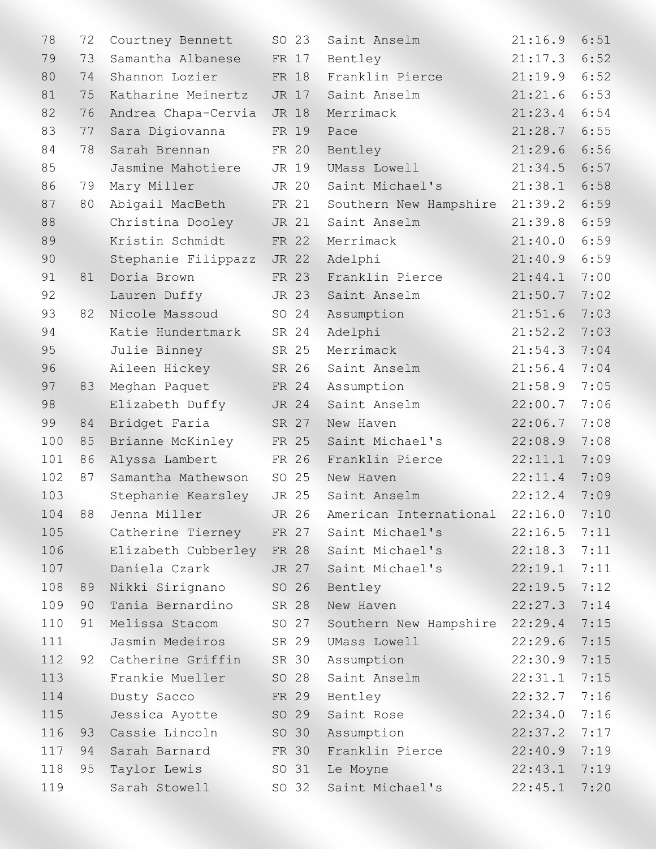| 78  | 72 | Courtney Bennett          | SO 23 | Saint Anselm           | 21:16.9 | 6:51 |
|-----|----|---------------------------|-------|------------------------|---------|------|
| 79  | 73 | Samantha Albanese         | FR 17 | Bentley                | 21:17.3 | 6:52 |
| 80  | 74 | Shannon Lozier            | FR 18 | Franklin Pierce        | 21:19.9 | 6:52 |
| 81  | 75 | Katharine Meinertz        | JR 17 | Saint Anselm           | 21:21.6 | 6:53 |
| 82  | 76 | Andrea Chapa-Cervia       | JR 18 | Merrimack              | 21:23.4 | 6:54 |
| 83  | 77 | Sara Digiovanna           | FR 19 | Pace                   | 21:28.7 | 6:55 |
| 84  | 78 | Sarah Brennan             | FR 20 | Bentley                | 21:29.6 | 6:56 |
| 85  |    | Jasmine Mahotiere         | JR 19 | UMass Lowell           | 21:34.5 | 6:57 |
| 86  | 79 | Mary Miller               | JR 20 | Saint Michael's        | 21:38.1 | 6:58 |
| 87  | 80 | Abigail MacBeth           | FR 21 | Southern New Hampshire | 21:39.2 | 6:59 |
| 88  |    | Christina Dooley          | JR 21 | Saint Anselm           | 21:39.8 | 6:59 |
| 89  |    | Kristin Schmidt           | FR 22 | Merrimack              | 21:40.0 | 6:59 |
| 90  |    | Stephanie Filippazz       | JR 22 | Adelphi                | 21:40.9 | 6:59 |
| 91  | 81 | Doria Brown               | FR 23 | Franklin Pierce        | 21:44.1 | 7:00 |
| 92  |    | Lauren Duffy              | JR 23 | Saint Anselm           | 21:50.7 | 7:02 |
| 93  | 82 | Nicole Massoud            | SO 24 | Assumption             | 21:51.6 | 7:03 |
| 94  |    | Katie Hundertmark         | SR 24 | Adelphi                | 21:52.2 | 7:03 |
| 95  |    | Julie Binney              | SR 25 | Merrimack              | 21:54.3 | 7:04 |
| 96  |    | Aileen Hickey             | SR 26 | Saint Anselm           | 21:56.4 | 7:04 |
| 97  | 83 | Meghan Paquet             | FR 24 | Assumption             | 21:58.9 | 7:05 |
| 98  |    | Elizabeth Duffy           | JR 24 | Saint Anselm           | 22:00.7 | 7:06 |
| 99  | 84 | Bridget Faria             | SR 27 | New Haven              | 22:06.7 | 7:08 |
| 100 | 85 | Brianne McKinley          | FR 25 | Saint Michael's        | 22:08.9 | 7:08 |
| 101 | 86 | Alyssa Lambert            | FR 26 | Franklin Pierce        | 22:11.1 | 7:09 |
| 102 | 87 | Samantha Mathewson        | SO 25 | New Haven              | 22:11.4 | 7:09 |
| 103 |    | Stephanie Kearsley        | JR 25 | Saint Anselm           | 22:12.4 | 7:09 |
| 104 | 88 | Jenna Miller              | JR 26 | American International | 22:16.0 | 7:10 |
| 105 |    | Catherine Tierney         | FR 27 | Saint Michael's        | 22:16.5 | 7:11 |
| 106 |    | Elizabeth Cubberley FR 28 |       | Saint Michael's        | 22:18.3 | 7:11 |
| 107 |    | Daniela Czark             | JR 27 | Saint Michael's        | 22:19.1 | 7:11 |
| 108 | 89 | Nikki Sirignano           | SO 26 | Bentley                | 22:19.5 | 7:12 |
| 109 | 90 | Tania Bernardino          | SR 28 | New Haven              | 22:27.3 | 7:14 |
| 110 | 91 | Melissa Stacom            | SO 27 | Southern New Hampshire | 22:29.4 | 7:15 |
| 111 |    | Jasmin Medeiros           | SR 29 | UMass Lowell           | 22:29.6 | 7:15 |
| 112 | 92 | Catherine Griffin         | SR 30 | Assumption             | 22:30.9 | 7:15 |
| 113 |    | Frankie Mueller           | SO 28 | Saint Anselm           | 22:31.1 | 7:15 |
| 114 |    | Dusty Sacco               | FR 29 | Bentley                | 22:32.7 | 7:16 |
| 115 |    | Jessica Ayotte            | SO 29 | Saint Rose             | 22:34.0 | 7:16 |
| 116 | 93 | Cassie Lincoln            | SO 30 | Assumption             | 22:37.2 | 7:17 |
| 117 | 94 | Sarah Barnard             | FR 30 | Franklin Pierce        | 22:40.9 | 7:19 |
| 118 | 95 | Taylor Lewis              | SO 31 | Le Moyne               | 22:43.1 | 7:19 |
| 119 |    | Sarah Stowell             | SO 32 | Saint Michael's        | 22:45.1 | 7:20 |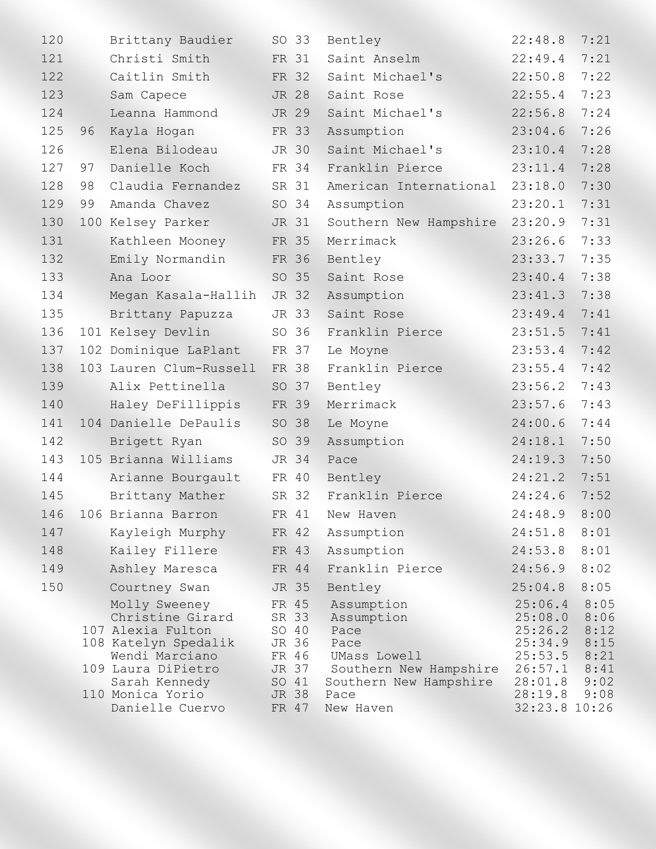| 120 |    | Brittany Baudier                                                                                                                                            |                                  | SO 33                            | Bentley                                                                                                              | 22:48.8                                                                                     | 7:21                                                 |
|-----|----|-------------------------------------------------------------------------------------------------------------------------------------------------------------|----------------------------------|----------------------------------|----------------------------------------------------------------------------------------------------------------------|---------------------------------------------------------------------------------------------|------------------------------------------------------|
| 121 |    | Christi Smith                                                                                                                                               |                                  | FR 31                            | Saint Anselm                                                                                                         | 22:49.4                                                                                     | 7:21                                                 |
| 122 |    | Caitlin Smith                                                                                                                                               |                                  | FR 32                            | Saint Michael's                                                                                                      | 22:50.8                                                                                     | 7:22                                                 |
| 123 |    | Sam Capece                                                                                                                                                  |                                  | JR 28                            | Saint Rose                                                                                                           | 22:55.4                                                                                     | 7:23                                                 |
| 124 |    | Leanna Hammond                                                                                                                                              |                                  | JR 29                            | Saint Michael's                                                                                                      | 22:56.8                                                                                     | 7:24                                                 |
| 125 | 96 | Kayla Hogan                                                                                                                                                 |                                  | FR 33                            | Assumption                                                                                                           | 23:04.6                                                                                     | 7:26                                                 |
| 126 |    | Elena Bilodeau                                                                                                                                              | JR 30                            |                                  | Saint Michael's                                                                                                      | 23:10.4                                                                                     | 7:28                                                 |
| 127 | 97 | Danielle Koch                                                                                                                                               |                                  | FR 34                            | Franklin Pierce                                                                                                      | 23:11.4                                                                                     | 7:28                                                 |
| 128 | 98 | Claudia Fernandez                                                                                                                                           |                                  | SR 31                            | American International                                                                                               | 23:18.0                                                                                     | 7:30                                                 |
| 129 | 99 | Amanda Chavez                                                                                                                                               |                                  | SO 34                            | Assumption                                                                                                           | 23:20.1                                                                                     | 7:31                                                 |
| 130 |    | 100 Kelsey Parker                                                                                                                                           |                                  | JR 31                            | Southern New Hampshire                                                                                               | 23:20.9                                                                                     | 7:31                                                 |
| 131 |    | Kathleen Mooney                                                                                                                                             |                                  | FR 35                            | Merrimack                                                                                                            | 23:26.6                                                                                     | 7:33                                                 |
| 132 |    | Emily Normandin                                                                                                                                             | FR 36                            |                                  | Bentley                                                                                                              | 23:33.7                                                                                     | 7:35                                                 |
| 133 |    | Ana Loor                                                                                                                                                    |                                  | SO 35                            | Saint Rose                                                                                                           | 23:40.4                                                                                     | 7:38                                                 |
| 134 |    | Megan Kasala-Hallih                                                                                                                                         |                                  | JR 32                            | Assumption                                                                                                           | 23:41.3                                                                                     | 7:38                                                 |
| 135 |    | Brittany Papuzza                                                                                                                                            |                                  | JR 33                            | Saint Rose                                                                                                           | 23:49.4                                                                                     | 7:41                                                 |
| 136 |    | 101 Kelsey Devlin                                                                                                                                           |                                  | SO 36                            | Franklin Pierce                                                                                                      | 23:51.5                                                                                     | 7:41                                                 |
| 137 |    | 102 Dominique LaPlant                                                                                                                                       |                                  | FR 37                            | Le Moyne                                                                                                             | 23:53.4                                                                                     | 7:42                                                 |
| 138 |    | 103 Lauren Clum-Russell                                                                                                                                     |                                  | FR 38                            | Franklin Pierce                                                                                                      | 23:55.4                                                                                     | 7:42                                                 |
| 139 |    | Alix Pettinella                                                                                                                                             |                                  | SO 37                            | Bentley                                                                                                              | 23:56.2                                                                                     | 7:43                                                 |
| 140 |    | Haley DeFillippis                                                                                                                                           |                                  | FR 39                            | Merrimack                                                                                                            | 23:57.6                                                                                     | 7:43                                                 |
| 141 |    | 104 Danielle DePaulis                                                                                                                                       |                                  | SO 38                            | Le Moyne                                                                                                             | 24:00.6                                                                                     | 7:44                                                 |
| 142 |    | Brigett Ryan                                                                                                                                                |                                  | SO 39                            | Assumption                                                                                                           | 24:18.1                                                                                     | 7:50                                                 |
| 143 |    | 105 Brianna Williams                                                                                                                                        |                                  | JR 34                            | Pace                                                                                                                 | 24:19.3                                                                                     | 7:50                                                 |
| 144 |    | Arianne Bourgault                                                                                                                                           |                                  | FR 40                            | Bentley                                                                                                              | 24:21.2                                                                                     | 7:51                                                 |
| 145 |    | Brittany Mather                                                                                                                                             |                                  | SR 32                            | Franklin Pierce                                                                                                      | 24:24.6                                                                                     | 7:52                                                 |
|     |    | 146 106 Brianna Barron                                                                                                                                      | FR 41                            |                                  | New Haven                                                                                                            | 24:48.9                                                                                     | 8:00                                                 |
| 147 |    | Kayleigh Murphy                                                                                                                                             |                                  | FR 42                            | Assumption                                                                                                           | 24:51.8                                                                                     | 8:01                                                 |
| 148 |    | Kailey Fillere                                                                                                                                              |                                  | FR 43                            | Assumption                                                                                                           | 24:53.8                                                                                     | 8:01                                                 |
| 149 |    | Ashley Maresca                                                                                                                                              | FR 44                            |                                  | Franklin Pierce                                                                                                      | 24:56.9                                                                                     | 8:02                                                 |
| 150 |    | Courtney Swan                                                                                                                                               |                                  | JR 35                            | Bentley                                                                                                              | 25:04.8                                                                                     | 8:05                                                 |
|     |    | Molly Sweeney<br>Christine Girard<br>107 Alexia Fulton<br>108 Katelyn Spedalik<br>Wendi Marciano<br>109 Laura DiPietro<br>Sarah Kennedy<br>110 Monica Yorio | SR 33<br>SO 40<br>JR 36<br>JR 38 | FR 45<br>FR 46<br>JR 37<br>SO 41 | Assumption<br>Assumption<br>Pace<br>Pace<br>UMass Lowell<br>Southern New Hampshire<br>Southern New Hampshire<br>Pace | 25:06.4<br>25:08.0<br>25:26.2<br>25:34.9<br>$25:53.5$ 8:21<br>26:57.1<br>28:01.8<br>28:19.8 | 8:05<br>8:06<br>8:12<br>8:15<br>8:41<br>9:02<br>9:08 |
|     |    | Danielle Cuervo                                                                                                                                             |                                  | FR 47                            | New Haven                                                                                                            | 32:23.8 10:26                                                                               |                                                      |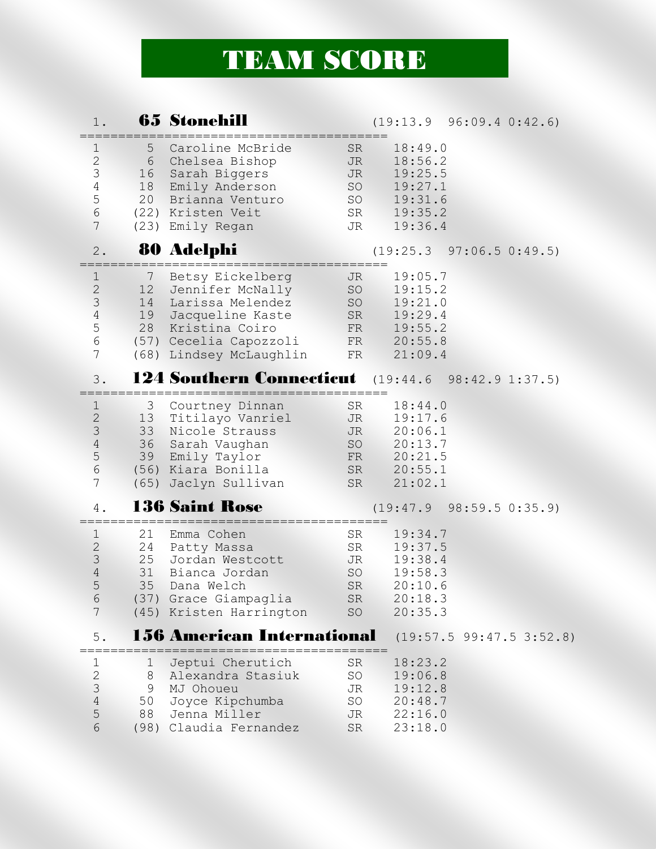## TEAM SCORE

## 1. **65 Stonehill** (19:13.9 96:09.4 0:42.6) ========================================

| $\mathbf{1}$<br>$\frac{2}{3}$<br>$\sqrt{4}$<br>5<br>$\epsilon$<br>$7\phantom{.}$   | 5 <sup>5</sup><br>16              | Caroline McBride<br>6 Chelsea Bishop<br>Sarah Biggers<br>18 Emily Anderson<br>20 Brianna Venturo<br>(22) Kristen Veit<br>(23) Emily Regan              | SR<br>JR<br><b>JR</b><br>SO<br>SO<br>SR<br>JR | 18:49.0<br>18:56.2<br>19:25.5<br>19:27.1<br>19:31.6<br>19:35.2<br>19:36.4             |
|------------------------------------------------------------------------------------|-----------------------------------|--------------------------------------------------------------------------------------------------------------------------------------------------------|-----------------------------------------------|---------------------------------------------------------------------------------------|
| 2.                                                                                 |                                   | 80 Adelphi                                                                                                                                             |                                               | (19:25.3 97:06.5 0:49.5)                                                              |
| $\mathbf{1}$<br>$\frac{2}{3}$<br>$\sqrt{4}$<br>5<br>$\epsilon$<br>$\overline{7}$   | $7\phantom{.0}$<br>12<br>14<br>19 | Betsy Eickelberg<br>Jennifer McNally<br>Larissa Melendez<br>Jacqueline Kaste<br>28 Kristina Coiro<br>(57) Cecelia Capozzoli<br>(68) Lindsey McLaughlin | JR.<br>SO<br>SO<br>FR                         | 19:05.7<br>19:15.2<br>19:21.0<br>SR 19:29.4<br>FR 19:55.2<br>FR 20:55.8<br>21:09.4    |
| 3.                                                                                 |                                   |                                                                                                                                                        |                                               | <b>124 Southern Connecticut</b> (19:44.6 98:42.9 1:37.5)                              |
| $\mathbf{1}$<br>$\frac{2}{3}$<br>$\sqrt{4}$<br>5<br>$\epsilon$<br>$7\phantom{.}$   |                                   | 3 Courtney Dinnan<br>13 Titilayo Vanriel<br>33 Nicole Strauss<br>36 Sarah Vaughan<br>39 Emily Taylor<br>(56) Kiara Bonilla<br>(65) Jaclyn Sullivan     | SR<br>JR<br>SR                                | 18:44.0<br>19:17.6<br>JR 20:06.1<br>SO 20:13.7<br>FR 20:21.5<br>SR 20:55.1<br>21:02.1 |
| 4.                                                                                 |                                   | <b>136 Saint Rose</b>                                                                                                                                  |                                               | (19:47.9 98:59.5 0:35.9)                                                              |
| $\mathbf 1$<br>$\mathbf{2}$<br>$\mathcal{S}$<br>$\sqrt{4}$<br>5<br>$\sqrt{6}$<br>7 | 21<br>25                          | Emma Cohen<br>24 Patty Massa<br>Jordan Westcott<br>31 Bianca Jordan<br>35 Dana Welch<br>(37) Grace Giampaglia<br>(45) Kristen Harrington               | SR<br>SR<br>JR<br>SO<br>${\rm SR}$<br>SO      | 19:34.7<br>19:37.5<br>19:38.4<br>19:58.3<br>SR 20:10.6<br>20:18.3<br>20:35.3          |
| 5.                                                                                 |                                   | <b>156 American International</b>                                                                                                                      |                                               | (19:57.5 99:47.5 3:52.8)                                                              |
| 1<br>$\mathbf{2}$<br>3<br>$\sqrt{4}$<br>5<br>6                                     | 1<br>8<br>9<br>50<br>88<br>(98)   | Jeptui Cherutich<br>Alexandra Stasiuk<br>MJ Ohoueu<br>Joyce Kipchumba<br>Jenna Miller<br>Claudia Fernandez                                             | <b>SR</b><br>SO<br>JR<br>SO<br>JR<br>SR       | 18:23.2<br>19:06.8<br>19:12.8<br>20:48.7<br>22:16.0<br>23:18.0                        |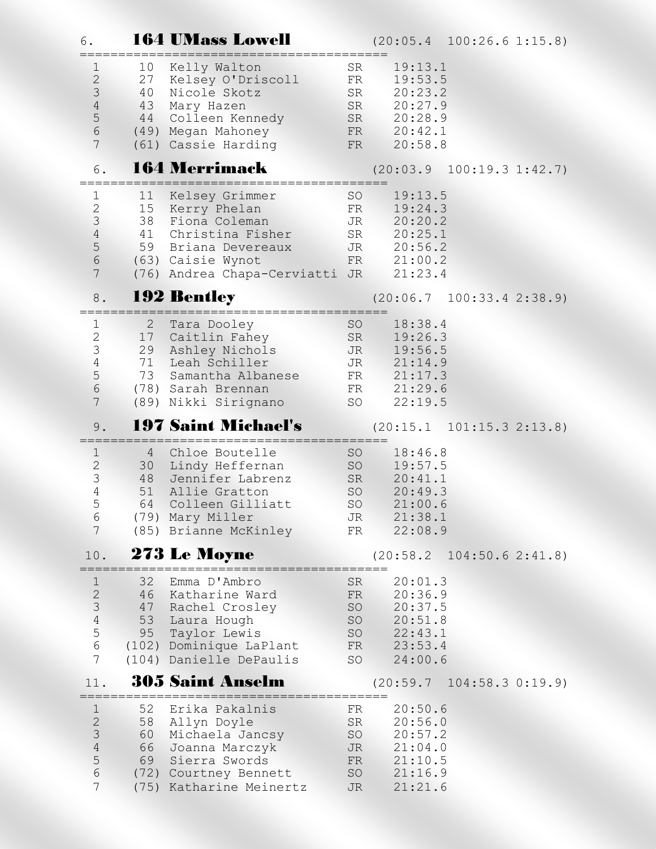| 6.                                                                                        |                                        | <b>164 UMass Lowell</b>                                                                                                                              |                                                             | $(20:05.4 \quad 100:26.6 \quad 1:15.8)$                                               |
|-------------------------------------------------------------------------------------------|----------------------------------------|------------------------------------------------------------------------------------------------------------------------------------------------------|-------------------------------------------------------------|---------------------------------------------------------------------------------------|
| 1<br>$\mathbf{2}$<br>$\mathsf 3$<br>$\overline{4}$<br>$\frac{5}{6}$<br>$\overline{7}$     | 10<br>27<br>40<br>43<br>44             | Kelly Walton<br>Kelsey O'Driscoll<br>Nicole Skotz<br>Mary Hazen<br>Colleen Kennedy<br>(49) Megan Mahoney<br>(61) Cassie Harding                      | SR<br>FR<br>SR<br>SR<br>SR<br>FR<br>FR                      | 19:13.1<br>19:53.5<br>20:23.2<br>20:27.9<br>20:28.9<br>20:42.1<br>20:58.8             |
| 6.                                                                                        |                                        | <b>164 Merrimack</b>                                                                                                                                 |                                                             | $(20:03.9 \t100:19.3 \t1:42.7)$                                                       |
| 1<br>$\mathbf{2}$<br>$\mathcal{S}$<br>$\overline{4}$<br>$\frac{5}{6}$<br>$\overline{7}$   | 11<br>15<br>38                         | Kelsey Grimmer<br>Kerry Phelan<br>Fiona Coleman<br>41 Christina Fisher<br>59 Briana Devereaux<br>(63) Caisie Wynot<br>(76) Andrea Chapa-Cerviatti JR | SO<br>FR<br>JR<br>SR<br>JR<br>FR                            | 19:13.5<br>19:24.3<br>20:20.2<br>20:25.1<br>20:56.2<br>21:00.2<br>21:23.4             |
| 8.                                                                                        |                                        | <b>192 Bentley</b>                                                                                                                                   |                                                             | $(20:06.7 \quad 100:33.4 \quad 2:38.9)$                                               |
| 1<br>$\mathbf{2}$<br>$\mathcal{S}$<br>$\overline{4}$<br>5<br>$\sqrt{6}$<br>$\overline{7}$ | $\mathbf{2}$<br>17<br>29<br>71<br>73   | Tara Dooley<br>Caitlin Fahey<br>Ashley Nichols<br>Leah Schiller<br>Samantha Albanese<br>(78) Sarah Brennan<br>(89) Nikki Sirignano                   | <b>SO</b><br>SR<br><b>JR</b><br><b>JR</b><br>FR<br>FR<br>SO | 18:38.4<br>19:26.3<br>19:56.5<br>21:14.9<br>21:17.3<br>21:29.6<br>22:19.5             |
| 9.                                                                                        |                                        | <b>197 Saint Michael's</b>                                                                                                                           |                                                             | $(20:15.1 \quad 101:15.3 \quad 2:13.8)$                                               |
|                                                                                           |                                        |                                                                                                                                                      |                                                             |                                                                                       |
| $\mathbf{1}$<br>$\frac{2}{3}$<br>$\overline{4}$<br>5<br>6<br>7                            | 4<br>30 <sup>2</sup><br>48<br>51<br>64 | Chloe Boutelle<br>Lindy Heffernan<br>Jennifer Labrenz<br>Allie Gratton<br>Colleen Gilliatt<br>(79) Mary Miller<br>(85) Brianne McKinley              | SO<br>SO<br>SR<br>SO<br><b>SO</b><br>JR<br>FR               | 18:46.8<br>19:57.5<br>20:41.1<br>20:49.3<br>21:00.6<br>21:38.1<br>22:08.9             |
| 10.                                                                                       |                                        | 273 Le Moyne                                                                                                                                         |                                                             | $(20:58.2 \quad 104:50.6 \quad 2:41.8)$                                               |
| $\mathbf 1$<br>23456<br>$\overline{7}$                                                    | 32<br>47<br>53<br>95                   | Emma D'Ambro<br>46 Katharine Ward<br>Rachel Crosley<br>Laura Hough<br>Taylor Lewis<br>(102) Dominique LaPlant<br>(104) Danielle DePaulis             | SR<br>FR<br>SO<br>FR<br>SO                                  | 20:01.3<br>20:36.9<br>20:37.5<br>SO<br>20:51.8<br>SO<br>22:43.1<br>23:53.4<br>24:00.6 |
| 11.                                                                                       |                                        | <b>305 Saint Anselm</b>                                                                                                                              |                                                             | $(20:59.7 \quad 104:58.3 \quad 0:19.9)$                                               |